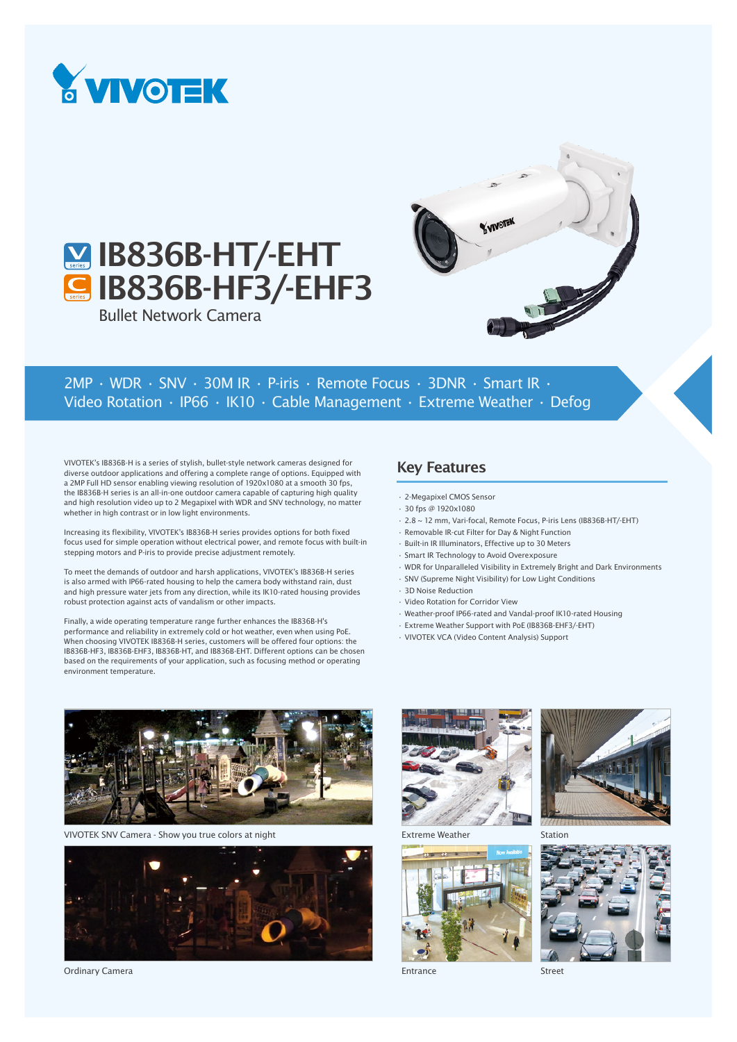

## **M** IB836B-HT/-EHT **G IB836B-HF3/-EHF3**

Bullet Network Camera



## 2MP • WDR • SNV • 30M IR • P-iris • Remote Focus • 3DNR • Smart IR • Video Rotation • IP66 • IK10 • Cable Management • Extreme Weather • Defog

VIVOTEK's IB836B-H is a series of stylish, bullet-style network cameras designed for diverse outdoor applications and offering a complete range of options. Equipped with a 2MP Full HD sensor enabling viewing resolution of 1920x1080 at a smooth 30 fps, the IB836B-H series is an all-in-one outdoor camera capable of capturing high quality and high resolution video up to 2 Megapixel with WDR and SNV technology, no matter whether in high contrast or in low light environments.

Increasing its flexibility, VIVOTEK's IB836B-H series provides options for both fixed focus used for simple operation without electrical power, and remote focus with built-in stepping motors and P-iris to provide precise adjustment remotely.

To meet the demands of outdoor and harsh applications, VIVOTEK's IB836B-H series is also armed with IP66-rated housing to help the camera body withstand rain, dust and high pressure water jets from any direction, while its IK10-rated housing provides robust protection against acts of vandalism or other impacts.

Finally, a wide operating temperature range further enhances the IB836B-H's performance and reliability in extremely cold or hot weather, even when using PoE. When choosing VIVOTEK IB836B-H series, customers will be offered four options: the IB836B-HF3, IB836B-EHF3, IB836B-HT, and IB836B-EHT. Different options can be chosen based on the requirements of your application, such as focusing method or operating environment temperature.

## Key Features

- 2-Megapixel CMOS Sensor
- 30 fps @ 1920x1080
- 2.8 ~ 12 mm, Vari-focal, Remote Focus, P-iris Lens (IB836B-HT/-EHT)
- Removable IR-cut Filter for Day & Night Function
- Built-in IR Illuminators, Effective up to 30 Meters
- Smart IR Technology to Avoid Overexposure
- WDR for Unparalleled Visibility in Extremely Bright and Dark Environments
- SNV (Supreme Night Visibility) for Low Light Conditions
- 3D Noise Reduction
- Video Rotation for Corridor View
- Weather-proof IP66-rated and Vandal-proof IK10-rated Housing
- Extreme Weather Support with PoE (IB836B-EHF3/-EHT)
- VIVOTEK VCA (Video Content Analysis) Support



VIVOTEK SNV Camera - Show you true colors at night



Ordinary Camera







Entrance



Station



Street